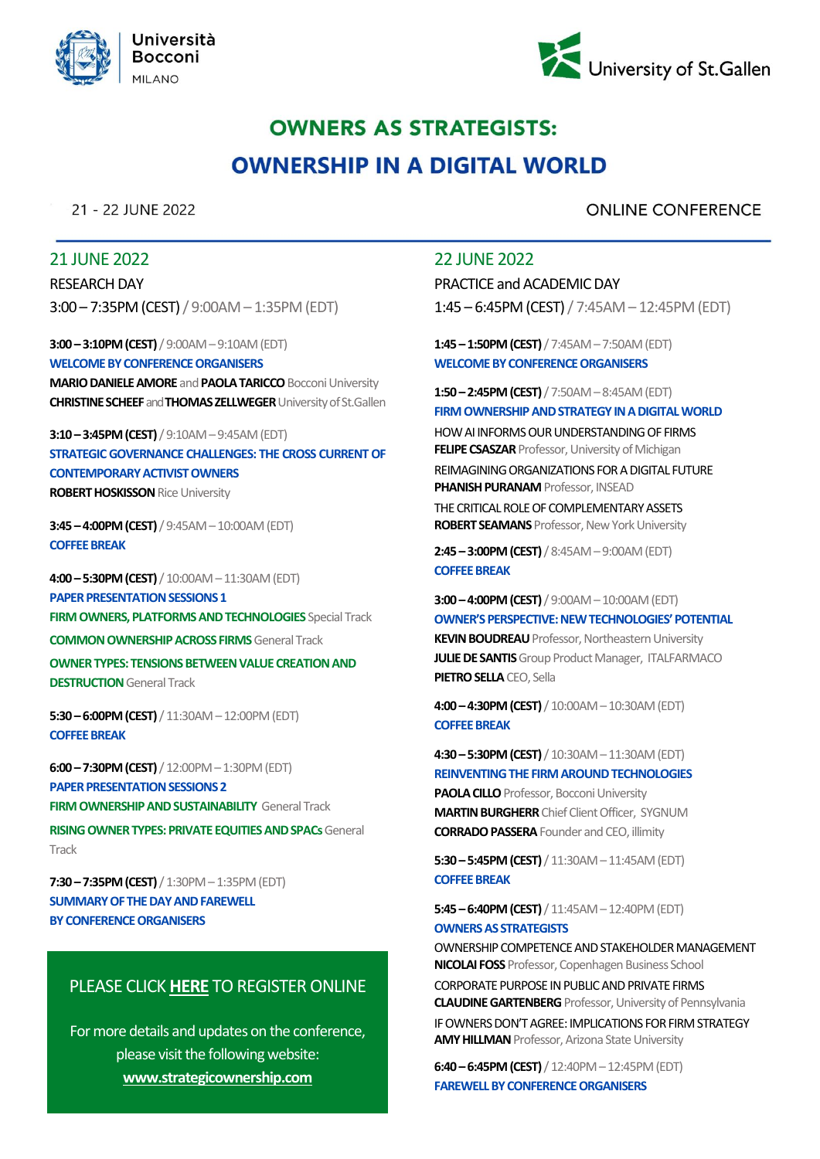



# **OWNERS AS STRATEGISTS: OWNERSHIP IN A DIGITAL WORLD**

21 - 22 JUNE 2022

## **ONLINE CONFERENCE**

## 21 JUNE 2022

RESEARCH DAY 3:00 – 7:35PM (CEST) / 9:00AM – 1:35PM (EDT)

**3:00 –3:10PM (CEST)**/ 9:00AM –9:10AM (EDT) **WELCOMEBY CONFERENCE ORGANISERS MARIO DANIELE AMORE** and **PAOLA TARICCO**Bocconi University **CHRISTINE SCHEEF**and**THOMAS ZELLWEGER**University of St.Gallen

**3:10 –3:45PM (CEST)**/ 9:10AM –9:45AM (EDT) **STRATEGIC GOVERNANCE CHALLENGES: THE CROSS CURRENT OF CONTEMPORARY ACTIVIST OWNERS ROBERT HOSKISSON** Rice University

**3:45 –4:00PM (CEST)**/ 9:45AM –10:00AM (EDT) **COFFEE BREAK**

**4:00 –5:30PM (CEST)** / 10:00AM –11:30AM (EDT) **PAPER PRESENTATION SESSIONS 1 FIRM OWNERS, PLATFORMS AND TECHNOLOGIES** Special Track **COMMON OWNERSHIP ACROSS FIRMS** General Track **OWNER TYPES: TENSIONS BETWEEN VALUE CREATION AND DESTRUCTION** General Track

**5:30 –6:00PM (CEST)**/ 11:30AM –12:00PM (EDT) **COFFEE BREAK**

**6:00 –7:30PM (CEST)**/ 12:00PM –1:30PM (EDT) **PAPER PRESENTATION SESSIONS 2 FIRM OWNERSHIP AND SUSTAINABILITY General Track** 

**RISING OWNER TYPES: PRIVATE EQUITIES AND SPACs** General **Track** 

**7:30 –7:35PM (CEST)**/ 1:30PM –1:35PM (EDT) **SUMMARY OF THE DAY AND FAREWELL BY CONFERENCE ORGANISERS**

## PLEASE CLICK **[HERE](www.strategicownership.com)** TO REGISTER ONLINE

For more details and updates on the conference, please visit the following website: **www.strategicownership.com**

## 22 JUNE 2022

PRACTICE and ACADEMIC DAY 1:45 – 6:45PM (CEST) / 7:45AM – 12:45PM (EDT)

**1:45 –1:50PM (CEST)**/ 7:45AM –7:50AM (EDT) **WELCOME BY CONFERENCE ORGANISERS**

**1:50 –2:45PM (CEST)**/ 7:50AM –8:45AM (EDT) **FIRMOWNERSHIP AND STRATEGY IN A DIGITAL WORLD**

HOW AI INFORMS OUR UNDERSTANDING OF FIRMS **FELIPE CSASZAR** Professor, University of Michigan REIMAGINING ORGANIZATIONS FOR A DIGITAL FUTURE

**PHANISH PURANAM** Professor, INSEAD

THE CRITICAL ROLE OF COMPLEMENTARY ASSETS **ROBERT SEAMANS** Professor, New York University

**2:45 –3:00PM (CEST)**/ 8:45AM –9:00AM (EDT) **COFFEE BREAK**

**3:00 –4:00PM (CEST)**/ 9:00AM –10:00AM (EDT) **OWNER'S PERSPECTIVE: NEW TECHNOLOGIES' POTENTIAL KEVIN BOUDREAU** Professor, Northeastern University **JULIE DE SANTIS** Group Product Manager, ITALFARMACO **PIETRO SELLA**CEO, Sella

**4:00 –4:30PM (CEST)**/ 10:00AM –10:30AM (EDT) **COFFEE BREAK**

**4:30 –5:30PM (CEST)**/ 10:30AM –11:30AM (EDT) **REINVENTING THE FIRM AROUND TECHNOLOGIES** 

**PAOLA CILLO** Professor, Bocconi University **MARTIN BURGHERR**Chief Client Officer, SYGNUM **CORRADO PASSERA** Founder and CEO, illimity

**5:30 –5:45PM (CEST)**/ 11:30AM –11:45AM (EDT) **COFFEE BREAK**

**5:45 –6:40PM (CEST)**/ 11:45AM –12:40PM (EDT) **OWNERS AS STRATEGISTS**

OWNERSHIP COMPETENCE AND STAKEHOLDER MANAGEMENT **NICOLAI FOSS** Professor, Copenhagen Business School

CORPORATE PURPOSE IN PUBLIC AND PRIVATE FIRMS **CLAUDINE GARTENBERG** Professor, University of Pennsylvania IF OWNERS DON'T AGREE: IMPLICATIONS FOR FIRM STRATEGY **AMY HILLMAN** Professor, Arizona State University

**6:40 –6:45PM (CEST)**/ 12:40PM –12:45PM (EDT) **FAREWELL BY CONFERENCE ORGANISERS**